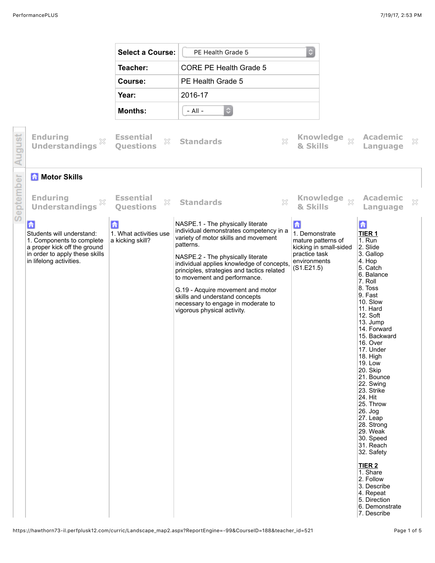|           |                                                                                                                                                          | <b>Select a Course:</b>                                               | PE Health Grade 5                                                                                                                                                                                                                                                                                                                                                                                                                             | $\mathbb{C}$                                                                                                       |              |                                                                                                                                                                                                                                                                                                                                                                                                                                                                                                                                                                  |              |
|-----------|----------------------------------------------------------------------------------------------------------------------------------------------------------|-----------------------------------------------------------------------|-----------------------------------------------------------------------------------------------------------------------------------------------------------------------------------------------------------------------------------------------------------------------------------------------------------------------------------------------------------------------------------------------------------------------------------------------|--------------------------------------------------------------------------------------------------------------------|--------------|------------------------------------------------------------------------------------------------------------------------------------------------------------------------------------------------------------------------------------------------------------------------------------------------------------------------------------------------------------------------------------------------------------------------------------------------------------------------------------------------------------------------------------------------------------------|--------------|
|           |                                                                                                                                                          | Teacher:                                                              | <b>CORE PE Health Grade 5</b>                                                                                                                                                                                                                                                                                                                                                                                                                 |                                                                                                                    |              |                                                                                                                                                                                                                                                                                                                                                                                                                                                                                                                                                                  |              |
|           |                                                                                                                                                          | Course:                                                               | PE Health Grade 5                                                                                                                                                                                                                                                                                                                                                                                                                             |                                                                                                                    |              |                                                                                                                                                                                                                                                                                                                                                                                                                                                                                                                                                                  |              |
|           |                                                                                                                                                          | Year:                                                                 | 2016-17                                                                                                                                                                                                                                                                                                                                                                                                                                       |                                                                                                                    |              |                                                                                                                                                                                                                                                                                                                                                                                                                                                                                                                                                                  |              |
|           |                                                                                                                                                          | <b>Months:</b>                                                        | $\circ$<br>$-$ All $-$                                                                                                                                                                                                                                                                                                                                                                                                                        |                                                                                                                    |              |                                                                                                                                                                                                                                                                                                                                                                                                                                                                                                                                                                  |              |
| August    | <b>Enduring</b><br>X<br><b>Understandings</b>                                                                                                            | <b>Essential</b><br>×<br><b>Questions</b>                             | $\mathbb{X}$<br><b>Standards</b>                                                                                                                                                                                                                                                                                                                                                                                                              | & Skills                                                                                                           | Knowledge xx | <b>Academic</b><br>Language                                                                                                                                                                                                                                                                                                                                                                                                                                                                                                                                      | X            |
|           | <b>A</b> Motor Skills                                                                                                                                    |                                                                       |                                                                                                                                                                                                                                                                                                                                                                                                                                               |                                                                                                                    |              |                                                                                                                                                                                                                                                                                                                                                                                                                                                                                                                                                                  |              |
| September | <b>Enduring</b><br>X<br><b>Understandings</b>                                                                                                            | <b>Essential</b><br>$\mathbb{S}^\mathcal{C}_\sim$<br><b>Questions</b> | $\mathbb{S}^2$<br><b>Standards</b>                                                                                                                                                                                                                                                                                                                                                                                                            | & Skills                                                                                                           | Knowledge xx | <b>Academic</b><br>Language                                                                                                                                                                                                                                                                                                                                                                                                                                                                                                                                      | $\mathbb{X}$ |
|           | 6<br>Students will understand:<br>1. Components to complete<br>a proper kick off the ground<br>in order to apply these skills<br>in lifelong activities. | 命<br>1. What activities use<br>a kicking skill?                       | NASPE.1 - The physically literate<br>individual demonstrates competency in a<br>variety of motor skills and movement<br>patterns.<br>NASPE.2 - The physically literate<br>individual applies knowledge of concepts.<br>principles, strategies and tactics related<br>to movement and performance.<br>G.19 - Acquire movement and motor<br>skills and understand concepts<br>necessary to engage in moderate to<br>vigorous physical activity. | 合<br>1. Demonstrate<br>mature patterns of<br>kicking in small-sided<br>practice task<br>environments<br>(S1.E21.5) |              | 合<br>TIER <sub>1</sub><br>$1.$ Run<br>2. Slide<br>3. Gallop<br>4. Hop<br>5. Catch<br>6. Balance<br>7. Roll<br>8. Toss<br>9. Fast<br>10. Slow<br>11. Hard<br>12. Soft<br>13. Jump<br>14. Forward<br>15. Backward<br>16. Over<br>17. Under<br>18. High<br>19. Low<br>20. Skip<br>21. Bounce<br>22. Swing<br>23. Strike<br>24. Hit<br>25. Throw<br>26. Jog<br>27. Leap<br>28. Strong<br>29. Weak<br>30. Speed<br>31. Reach<br>32. Safety<br>TIER <sub>2</sub><br>1. Share<br>2. Follow<br>3. Describe<br>4. Repeat<br>5. Direction<br>6. Demonstrate<br>7. Describe |              |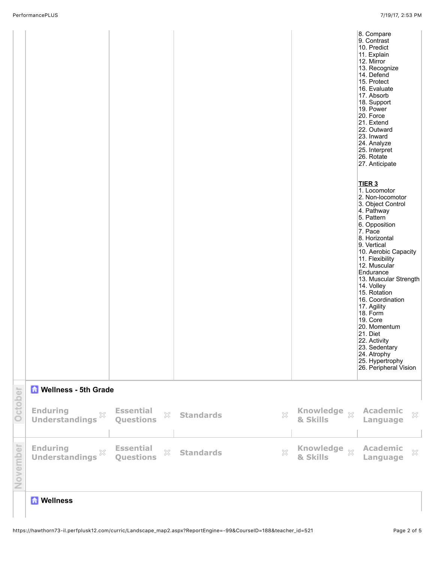|          |                                                       |                                                                       |                                  |                                              | 8. Compare<br>9. Contrast<br>10. Predict<br>11. Explain<br>12. Mirror<br>13. Recognize<br>14. Defend<br>15. Protect<br>16. Evaluate<br>17. Absorb<br>18. Support<br>19. Power<br>20. Force<br>21. Extend<br>22. Outward<br>23. Inward<br>24. Analyze<br>25. Interpret<br>26. Rotate<br>27. Anticipate<br>TIER <sub>3</sub><br>1. Locomotor<br>2. Non-locomotor<br>3. Object Control<br>4. Pathway<br>5. Pattern<br>6. Opposition<br>7. Pace<br>8. Horizontal<br>9. Vertical<br>10. Aerobic Capacity<br>11. Flexibility<br>12. Muscular<br>Endurance<br>13. Muscular Strength<br>14. Volley<br>15. Rotation<br>16. Coordination<br>17. Agility<br>18. Form<br>19. Core<br>20. Momentum<br>21. Diet<br>22. Activity<br>23. Sedentary<br>24. Atrophy<br>25. Hypertrophy<br>26. Peripheral Vision |
|----------|-------------------------------------------------------|-----------------------------------------------------------------------|----------------------------------|----------------------------------------------|-----------------------------------------------------------------------------------------------------------------------------------------------------------------------------------------------------------------------------------------------------------------------------------------------------------------------------------------------------------------------------------------------------------------------------------------------------------------------------------------------------------------------------------------------------------------------------------------------------------------------------------------------------------------------------------------------------------------------------------------------------------------------------------------------|
|          | <b>M</b> Wellness - 5th Grade                         |                                                                       |                                  |                                              |                                                                                                                                                                                                                                                                                                                                                                                                                                                                                                                                                                                                                                                                                                                                                                                               |
| October  | <b>Enduring</b><br>$\gtrsim$<br><b>Understandings</b> | <b>Essential</b><br>$\mathbb{S}^\mathcal{C}_\sim$<br><b>Questions</b> | 53<br><b>Standards</b>           | Knowledge xx<br>& Skills                     | <b>Academic</b><br>$\mathbb{X}$<br>Language                                                                                                                                                                                                                                                                                                                                                                                                                                                                                                                                                                                                                                                                                                                                                   |
| November | <b>Enduring</b><br>X<br><b>Understandings</b>         | <b>Essential</b><br>$\mathbb{X}$<br>Questions                         | $\mathbb{X}$<br><b>Standards</b> | <b>Knowledge</b><br>$\mathbb{X}$<br>& Skills | <b>Academic</b><br>$\boldsymbol{\mathcal{K}}$<br>Language                                                                                                                                                                                                                                                                                                                                                                                                                                                                                                                                                                                                                                                                                                                                     |
|          | <b>M</b> Wellness                                     |                                                                       |                                  |                                              |                                                                                                                                                                                                                                                                                                                                                                                                                                                                                                                                                                                                                                                                                                                                                                                               |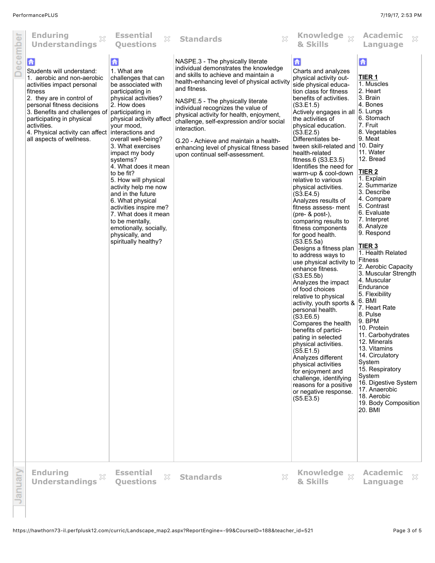| ecember | <b>Enduring</b><br>×<br><b>Understandings</b>                                                                                                                                                                                                                                                                                            | <b>Essential</b><br>X<br><b>Questions</b>                                                                                                                                                                                                                                                                                                                                                                                                                                                                                                            | X<br><b>Standards</b>                                                                                                                                                                                                                                                                                                                                                                                                                                                                         | Knowledge xx<br>& Skills                                                                                                                                                                                                                                                                                                                                                                                                                                                                                                                                                                                                                                                                                                                                                                                                                                                                                                                                                                                                                                                                                                             | <b>Academic</b><br>X<br>Language                                                                                                                                                                                                                                                                                                                                                                                                                                                                                                                                                                                                                                                                                                                       |
|---------|------------------------------------------------------------------------------------------------------------------------------------------------------------------------------------------------------------------------------------------------------------------------------------------------------------------------------------------|------------------------------------------------------------------------------------------------------------------------------------------------------------------------------------------------------------------------------------------------------------------------------------------------------------------------------------------------------------------------------------------------------------------------------------------------------------------------------------------------------------------------------------------------------|-----------------------------------------------------------------------------------------------------------------------------------------------------------------------------------------------------------------------------------------------------------------------------------------------------------------------------------------------------------------------------------------------------------------------------------------------------------------------------------------------|--------------------------------------------------------------------------------------------------------------------------------------------------------------------------------------------------------------------------------------------------------------------------------------------------------------------------------------------------------------------------------------------------------------------------------------------------------------------------------------------------------------------------------------------------------------------------------------------------------------------------------------------------------------------------------------------------------------------------------------------------------------------------------------------------------------------------------------------------------------------------------------------------------------------------------------------------------------------------------------------------------------------------------------------------------------------------------------------------------------------------------------|--------------------------------------------------------------------------------------------------------------------------------------------------------------------------------------------------------------------------------------------------------------------------------------------------------------------------------------------------------------------------------------------------------------------------------------------------------------------------------------------------------------------------------------------------------------------------------------------------------------------------------------------------------------------------------------------------------------------------------------------------------|
|         | $\mathbf{G}$<br>Students will understand:<br>1. aerobic and non-aerobic<br>activities impact personal<br>fitness<br>2. they are in control of<br>personal fitness decisions<br>3. Benefits and challenges of<br>participating in physical<br>activities.<br>4. Physical activity can affect interactions and<br>all aspects of wellness. | $\mathbf{G}$<br>1. What are<br>challenges that can<br>be associated with<br>participating in<br>physical activities?<br>2. How does<br>participating in<br>physical activity affect<br>your mood,<br>overall well-being?<br>3. What exercises<br>impact my body<br>systems?<br>4. What does it mean<br>to be fit?<br>5. How will physical<br>activity help me now<br>and in the future<br>6. What physical<br>activities inspire me?<br>7. What does it mean<br>to be mentally,<br>emotionally, socially,<br>physically, and<br>spiritually healthy? | NASPE.3 - The physically literate<br>individual demonstrates the knowledge<br>and skills to achieve and maintain a<br>health-enhancing level of physical activity<br>and fitness.<br>NASPE.5 - The physically literate<br>individual recognizes the value of<br>physical activity for health, enjoyment,<br>challenge, self-expression and/or social<br>interaction.<br>G.20 - Achieve and maintain a health-<br>enhancing level of physical fitness based<br>upon continual self-assessment. | $\mathbf{G}$<br>Charts and analyzes<br>physical activity out-<br>side physical educa-<br>tion class for fitness<br>benefits of activities.<br>(S3.E1.5)<br>Actively engages in all 5. Lungs<br>the activities of<br>physical education.<br>(S3.E2.5)<br>Differentiates be-<br>tween skill-related and<br>health-related<br>fitness. $6$ (S3.E3.5)<br>Identifies the need for<br>warm-up & cool-down<br>relative to various<br>physical activities.<br>(S3.E4.5)<br>Analyzes results of<br>fitness assess- ment<br>(pre- & post-),<br>comparing results to<br>fitness components<br>for good health.<br>(S3.E5.5a)<br>Designs a fitness plan<br>to address ways to<br>use physical activity to<br>enhance fitness.<br>(S3.E5.5b)<br>Analyzes the impact<br>of food choices<br>relative to physical<br>activity, youth sports &<br>personal health.<br>(S3.E6.5)<br>Compares the health<br>benefits of partici-<br>pating in selected<br>physical activities.<br>(S5.E1.5)<br>Analyzes different<br>physical activities<br>for enjoyment and<br>challenge, identifying<br>reasons for a positive<br>or negative response.<br>(S5.E3.5) | 合<br><b>TIER 1</b><br>1. Muscles<br>2. Heart<br>3. Brain<br>4. Bones<br>6. Stomach<br>7. Fruit<br>8. Vegetables<br>9. Meat<br>$ 10.$ Dairy<br>11. Water<br>12. Bread<br>TIER <sub>2</sub><br>1. Explain<br>2. Summarize<br>3. Describe<br>4. Compare<br>5. Contrast<br>6. Evaluate<br>7. Interpret<br>8. Analyze<br>9. Respond<br><b>TIER 3</b><br>1. Health Related<br>Fitness<br>2. Aerobic Capacity<br>3. Muscular Strength<br>4. Muscular<br>Endurance<br>5. Flexibility<br>6. BMI<br>7. Heart Rate<br>8. Pulse<br>9. BPM<br>10. Protein<br>11. Carbohydrates<br>12. Minerals<br>13. Vitamins<br>14. Circulatory<br>System<br>15. Respiratory<br>System<br>16. Digestive System<br>17. Anaerobic<br>18. Aerobic<br>19. Body Composition<br>20. BMI |
| anuar   | <b>Enduring</b><br>X<br><b>Understandings</b>                                                                                                                                                                                                                                                                                            | <b>Essential</b><br>$\mathbb{S}^\mathcal{C}_\sim$<br><b>Questions</b>                                                                                                                                                                                                                                                                                                                                                                                                                                                                                | $\mathbb{X}$<br><b>Standards</b>                                                                                                                                                                                                                                                                                                                                                                                                                                                              | <b>Knowledge</b><br>$\bar{\mathbb{X}}$<br>& Skills                                                                                                                                                                                                                                                                                                                                                                                                                                                                                                                                                                                                                                                                                                                                                                                                                                                                                                                                                                                                                                                                                   | <b>Academic</b><br>×<br>Language                                                                                                                                                                                                                                                                                                                                                                                                                                                                                                                                                                                                                                                                                                                       |